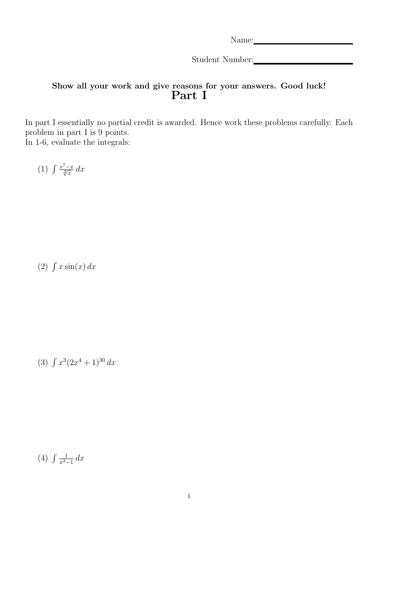Name:

Student Number:

### Show all your work and give reasons for your answers. Good luck! Part I

In part I essentially no partial credit is awarded. Hence work these problems carefully. Each problem in part I is 9 points. In 1-6, evaluate the integrals:

(1)  $\int \frac{x^7 - x}{\sqrt[3]{x}} dx$ 

 $(2)$   $\int x \sin(x) dx$ 

(3)  $\int x^3(2x^4+1)^{30} dx$ 

 $(4)$   $\int \frac{1}{x^2-1}$  $rac{1}{x^2-1}$  dx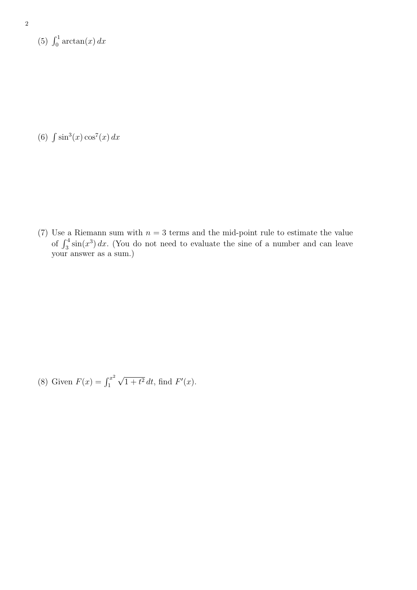(5)  $\int_0^1 \arctan(x) dx$ 

(6)  $\int \sin^3(x) \cos^7(x) dx$ 

(7) Use a Riemann sum with  $n = 3$  terms and the mid-point rule to estimate the value of  $\int_3^4 \sin(x^3) dx$ . (You do not need to evaluate the sine of a number and can leave your answer as a sum.)

(8) Given  $F(x) = \int_1^{x^2}$ 1 √  $\overline{1+t^2} dt$ , find  $F'(x)$ .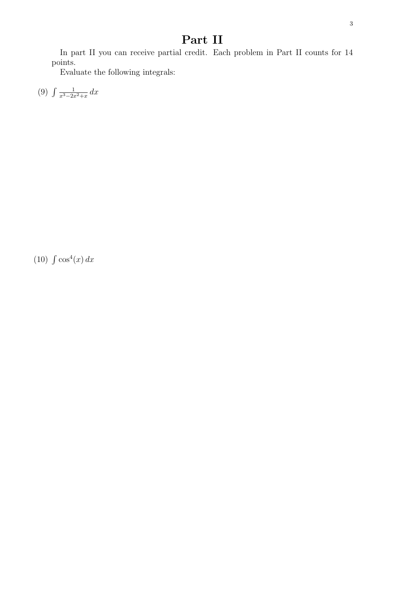In part II you can receive partial credit. Each problem in Part II counts for 14 points.

Evaluate the following integrals:

 $(9)$   $\int \frac{1}{x^3-2x}$  $\frac{1}{x^3-2x^2+x} dx$ 

 $(10)$   $\int \cos^4(x) dx$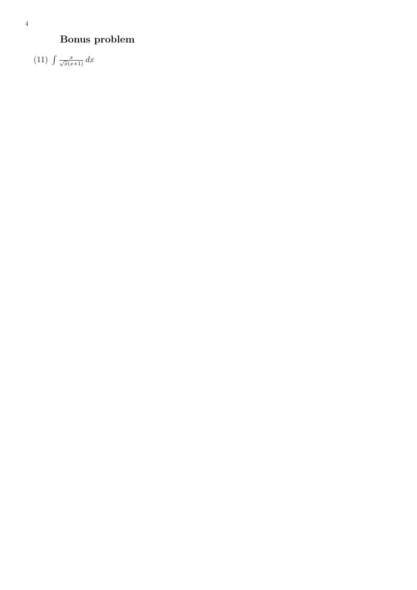#### 4

# Bonus problem

 $(11)$   $\int \frac{x}{\sqrt{x}(x+1)} dx$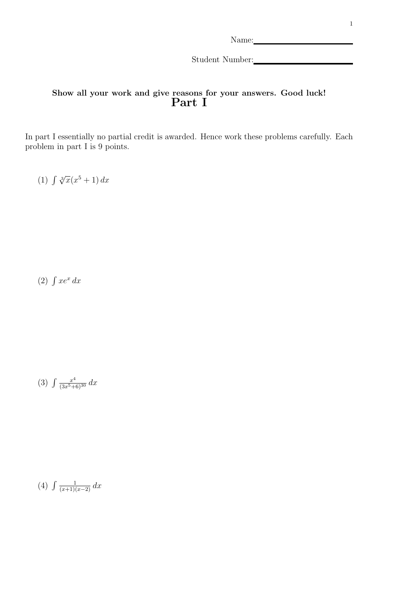Student Number:

### Show all your work and give reasons for your answers. Good luck! Part I

In part I essentially no partial credit is awarded. Hence work these problems carefully. Each problem in part I is 9 points.

(1)  $\int \sqrt[3]{x(x^5+1)} dx$ 

 $(2)$   $\int xe^x dx$ 

(3)  $\int \frac{x^4}{(3x^5+6)^{30}} dx$ 

(4)  $\int \frac{1}{(x+1)(x-2)} dx$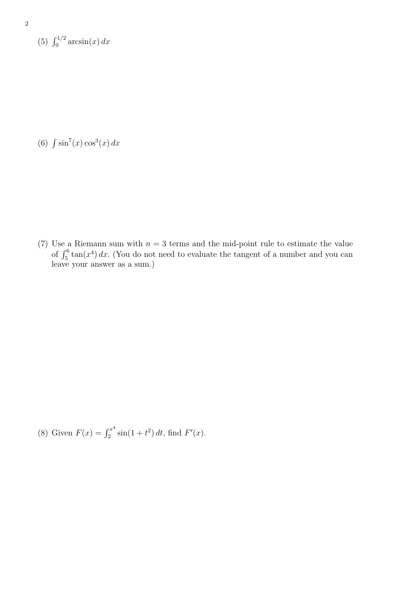(5)  $\int_0^{1/2} \arcsin(x) dx$ 

(6)  $\int \sin^7(x) \cos^3(x) dx$ 

(7) Use a Riemann sum with  $n = 3$  terms and the mid-point rule to estimate the value of  $\int_5^6 \tan(x^4) dx$ . (You do not need to evaluate the tangent of a number and you can leave your answer as a sum.)

(8) Given  $F(x) = \int_2^{x^4}$  $\int_2^{x^4} \sin(1+t^2) dt$ , find  $F'(x)$ .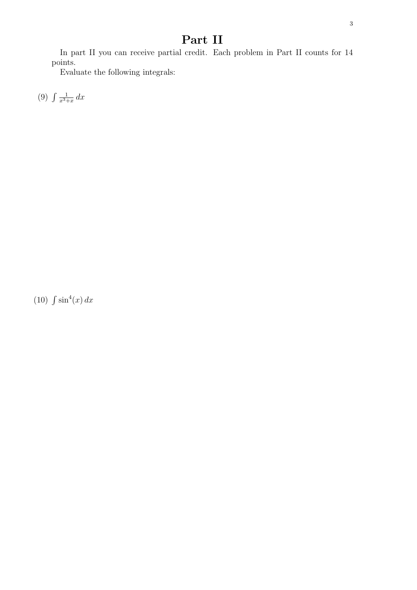In part II you can receive partial credit. Each problem in Part II counts for 14 points.

Evaluate the following integrals:

 $(9) \int \frac{1}{r^3}$  $rac{1}{x^3+x}$  dx

 $(10)$   $\int \sin^4(x) dx$